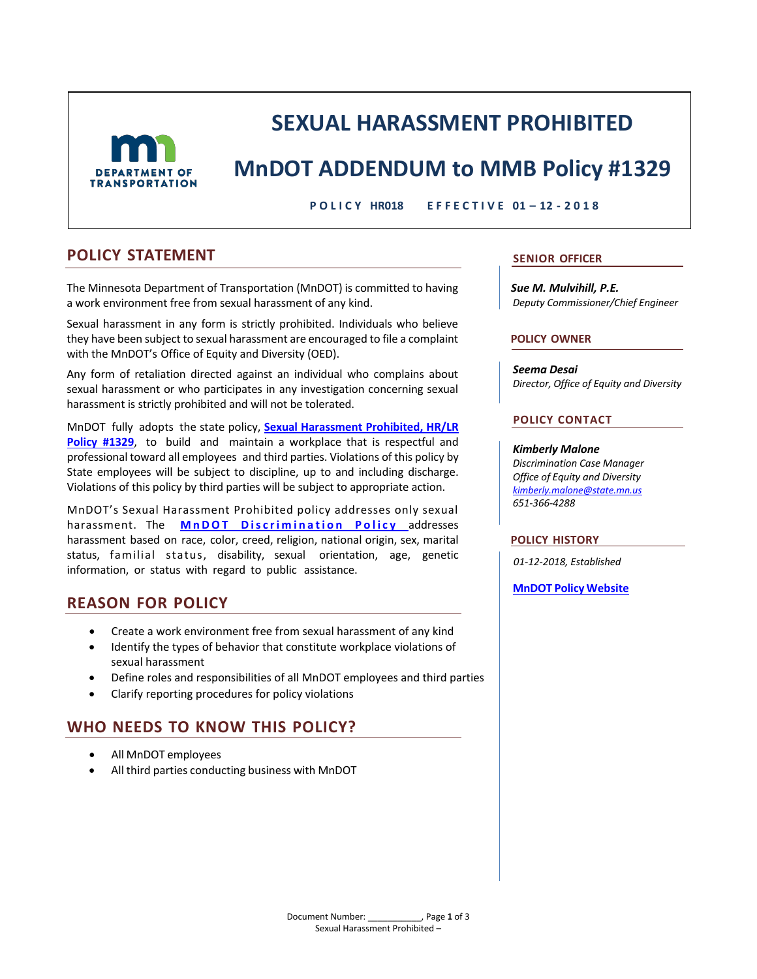

# **SEXUAL HARASSMENT PROHIBITED**

# **MnDOT ADDENDUM to MMB Policy #1329**

**P O L I C Y HR018 E F F E C T I V E 01 – 12 - 2 0 1 8**

### **POLICY STATEMENT SENIOR OFFICER**

The Minnesota Department of Transportation (MnDOT) is committed to having a work environment free from sexual harassment of any kind.

Sexual harassment in any form is strictly prohibited. Individuals who believe they have been subject to sexual harassment are encouraged to file a complaint with the MnDOT's Office of Equity and Diversity (OED).

Any form of retaliation directed against an individual who complains about sexual harassment or who participates in any investigation concerning sexual harassment is strictly prohibited and will not be tolerated.

MnDOT fully adopts the state policy, **[Sexual Harassment Prohibited, HR/LR](https://mn.gov/mmb-stat/policies/1329-sexualharassment-prohibited.pdf)  [Policy #1329](https://mn.gov/mmb-stat/policies/1329-sexualharassment-prohibited.pdf)**, to build and maintain a workplace that is respectful and professional toward all employees and third parties. Violations of this policy by State employees will be subject to discipline, up to and including discharge. Violations of this policy by third parties will be subject to appropriate action.

MnDOT's Sexual Harassment Prohibited policy addresses only sexual harassment. The **[MnDOT Discrimination Policy](http://dotapp7.dot.state.mn.us/cyberdocs_guest/quickstart.asp?show=view:1792558&noframes=yes)** addresses harassment based on race, color, creed, religion, national origin, sex, marital status, familial status, disability, sexual orientation, age, genetic information, or status with regard to public assistance.

# **REASON FOR POLICY**

- Create a work environment free from sexual harassment of any kind
- Identify the types of behavior that constitute workplace violations of sexual harassment
- Define roles and responsibilities of all MnDOT employees and third parties
- Clarify reporting procedures for policy violations

# **WHO NEEDS TO KNOW THIS POLICY?**

- All MnDOT employees
- All third parties conducting business with MnDOT

*Sue M. Mulvihill, P.E. Deputy Commissioner/Chief Engineer*

#### **POLICY OWNER**

*Seema Desai Director, Office of Equity and Diversity*

#### **POLICY CONTACT**

#### *Kimberly Malone*

*Discrimination Case Manager Office of Equity and Diversity [kimberly.malone@state.mn.us](mailto:kimberly.malone@state.mn.us) 651-366-4288*

#### **POLICY HISTORY**

*01-12-2018, Established*

#### **MnDOT [Policy Website](http://www.dot.state.mn.us/policy/index.html)**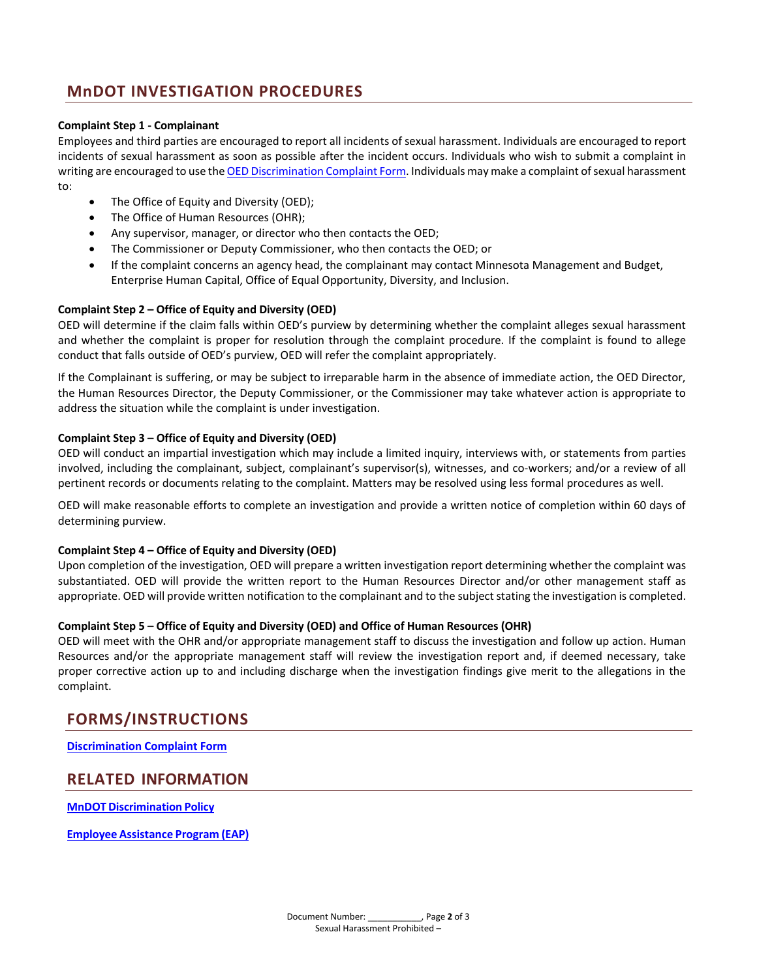# **MnDOT INVESTIGATION PROCEDURES**

#### **Complaint Step 1 - Complainant**

Employees and third parties are encouraged to report all incidents of sexual harassment. Individuals are encouraged to report incidents of sexual harassment as soon as possible after the incident occurs. Individuals who wish to submit a complaint in writing are encouraged to use th[e OED Discrimination Complaint Form.](http://dot.state.mn.us/equity-diversity/complaint-form.html) Individuals may make a complaint of sexual harassment to:

- The Office of Equity and Diversity (OED);
- The Office of Human Resources (OHR);
- Any supervisor, manager, or director who then contacts the OED;
- The Commissioner or Deputy Commissioner, who then contacts the OED; or
- If the complaint concerns an agency head, the complainant may contact Minnesota Management and Budget, Enterprise Human Capital, Office of Equal Opportunity, Diversity, and Inclusion.

#### **Complaint Step 2 – Office of Equity and Diversity (OED)**

OED will determine if the claim falls within OED's purview by determining whether the complaint alleges sexual harassment and whether the complaint is proper for resolution through the complaint procedure. If the complaint is found to allege conduct that falls outside of OED's purview, OED will refer the complaint appropriately.

If the Complainant is suffering, or may be subject to irreparable harm in the absence of immediate action, the OED Director, the Human Resources Director, the Deputy Commissioner, or the Commissioner may take whatever action is appropriate to address the situation while the complaint is under investigation.

#### **Complaint Step 3 – Office of Equity and Diversity (OED)**

OED will conduct an impartial investigation which may include a limited inquiry, interviews with, or statements from parties involved, including the complainant, subject, complainant's supervisor(s), witnesses, and co-workers; and/or a review of all pertinent records or documents relating to the complaint. Matters may be resolved using less formal procedures as well.

OED will make reasonable efforts to complete an investigation and provide a written notice of completion within 60 days of determining purview.

#### **Complaint Step 4 – Office of Equity and Diversity (OED)**

Upon completion of the investigation, OED will prepare a written investigation report determining whether the complaint was substantiated. OED will provide the written report to the Human Resources Director and/or other management staff as appropriate. OED will provide written notification to the complainant and to the subject stating the investigation is completed.

#### **Complaint Step 5 – Office of Equity and Diversity (OED) and Office of Human Resources (OHR)**

OED will meet with the OHR and/or appropriate management staff to discuss the investigation and follow up action. Human Resources and/or the appropriate management staff will review the investigation report and, if deemed necessary, take proper corrective action up to and including discharge when the investigation findings give merit to the allegations in the complaint.

### **FORMS/INSTRUCTIONS**

**[Discrimination Complaint Form](http://dot.state.mn.us/equity-diversity/complaint-form.html)**

### **RELATED INFORMATION**

**MnDOT [Discrimination](http://dotapp7.dot.state.mn.us/cyberdocs_guest/quickstart.asp?show=view:1792558&noframes=yes) Policy**

**Employee [Assistance](http://mn.gov/mmb/segip/health-solutions/employees/eap/index.jsp) Program (EAP)**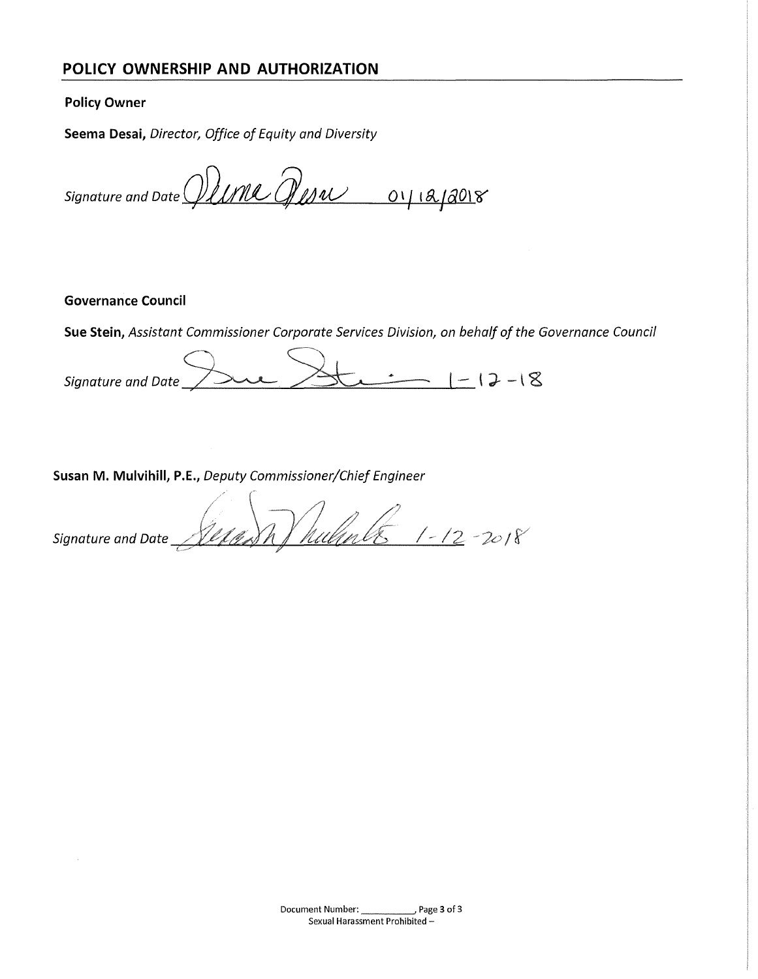# **POLICY OWNERSHIP AND AUTHORIZATION**

#### **Policy Owner**

**Seema Desai,** *Director, Office of Equity and Diversity* 

Signature and Date *().UNC Qusw* or 12/2018

#### **Governance Council**

**Sue Stein,** *Assistant Commissioner Corporate Services Division, on behalf of the Governance Council* 

Signature and Date  $\frac{\triangle}{\triangle}$   $\frac{1-17-18}{\triangle}$ 

**Susan M. Mulvihill, P.E.,** *Deputy Commissioner/Chief Engineer* 

m) hulmler 1-12-2018 Signature and Date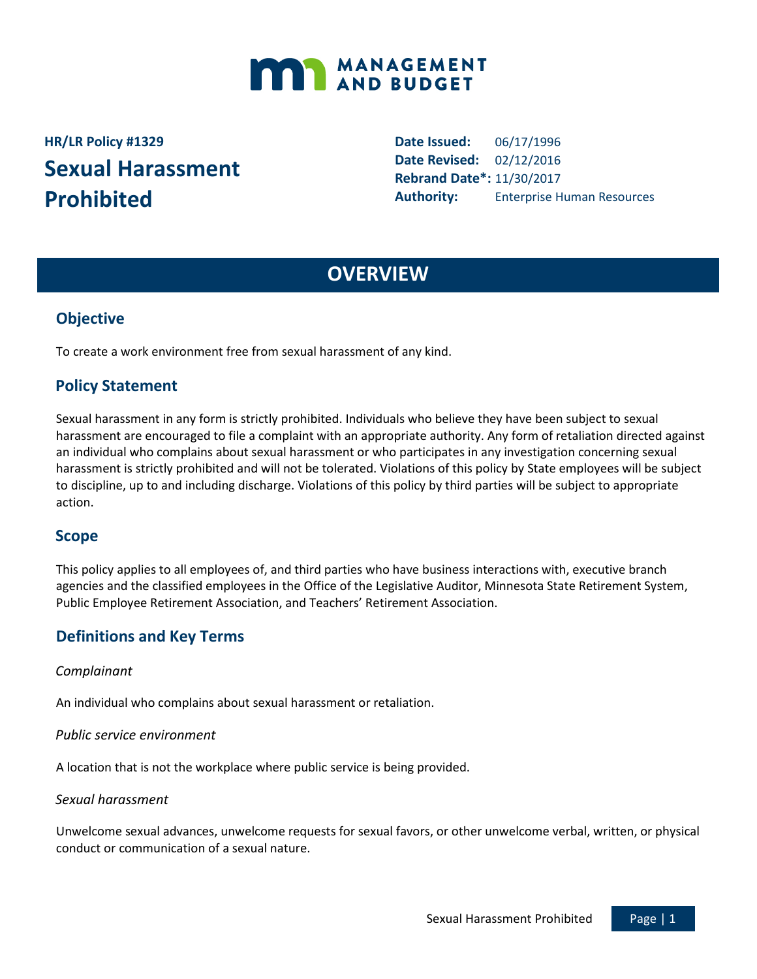

# **HR/LR Policy #1329 Sexual Harassment Prohibited**

**Date Issued:** 06/17/1996 **Date Revised:** 02/12/2016 **Rebrand Date\*:** 11/30/2017 **Authority:** Enterprise Human Resources

# **OVERVIEW**

## **Objective**

To create a work environment free from sexual harassment of any kind.

# **Policy Statement**

Sexual harassment in any form is strictly prohibited. Individuals who believe they have been subject to sexual harassment are encouraged to file a complaint with an appropriate authority. Any form of retaliation directed against an individual who complains about sexual harassment or who participates in any investigation concerning sexual harassment is strictly prohibited and will not be tolerated. Violations of this policy by State employees will be subject to discipline, up to and including discharge. Violations of this policy by third parties will be subject to appropriate action.

### **Scope**

This policy applies to all employees of, and third parties who have business interactions with, executive branch agencies and the classified employees in the Office of the Legislative Auditor, Minnesota State Retirement System, Public Employee Retirement Association, and Teachers' Retirement Association.

# **Definitions and Key Terms**

#### *Complainant*

An individual who complains about sexual harassment or retaliation.

#### *Public service environment*

A location that is not the workplace where public service is being provided.

#### *Sexual harassment*

Unwelcome sexual advances, unwelcome requests for sexual favors, or other unwelcome verbal, written, or physical conduct or communication of a sexual nature.

Sexual Harassment Prohibited Page | 1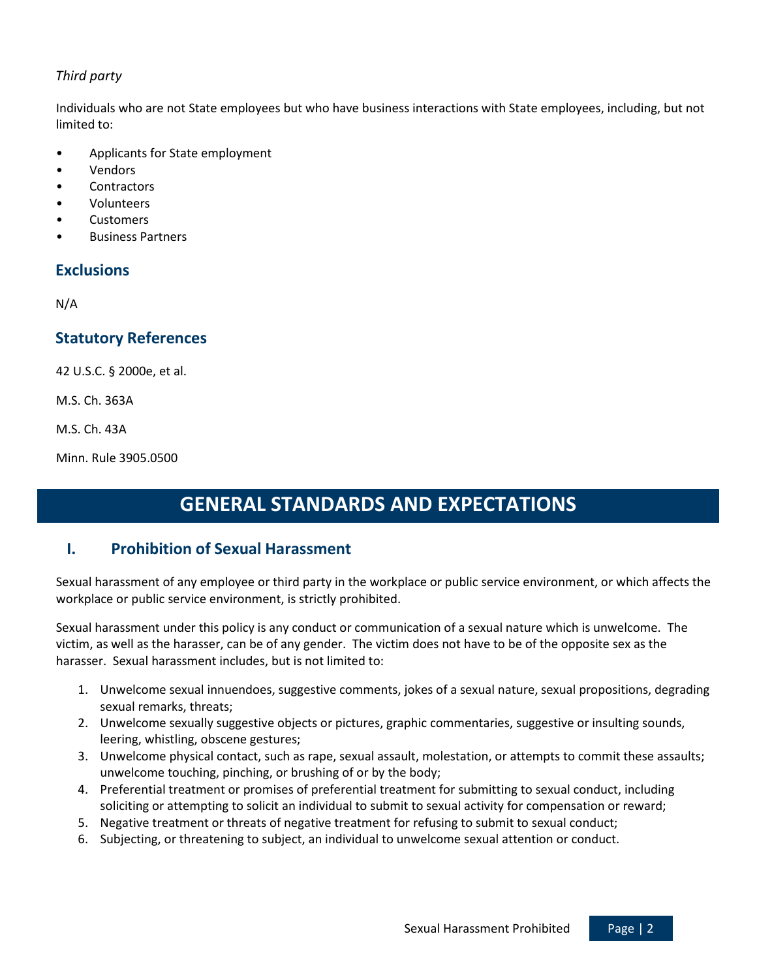### *Third party*

Individuals who are not State employees but who have business interactions with State employees, including, but not limited to:

- Applicants for State employment
- **Vendors**
- **Contractors**
- Volunteers
- **Customers**
- Business Partners

### **Exclusions**

N/A

# **Statutory References**

42 U.S.C. § 2000e, et al.

M.S. Ch. 363A

M.S. Ch. 43A

Minn. Rule 3905.0500

# **GENERAL STANDARDS AND EXPECTATIONS**

### **I. Prohibition of Sexual Harassment**

Sexual harassment of any employee or third party in the workplace or public service environment, or which affects the workplace or public service environment, is strictly prohibited.

Sexual harassment under this policy is any conduct or communication of a sexual nature which is unwelcome. The victim, as well as the harasser, can be of any gender. The victim does not have to be of the opposite sex as the harasser. Sexual harassment includes, but is not limited to:

- 1. Unwelcome sexual innuendoes, suggestive comments, jokes of a sexual nature, sexual propositions, degrading sexual remarks, threats;
- 2. Unwelcome sexually suggestive objects or pictures, graphic commentaries, suggestive or insulting sounds, leering, whistling, obscene gestures;
- 3. Unwelcome physical contact, such as rape, sexual assault, molestation, or attempts to commit these assaults; unwelcome touching, pinching, or brushing of or by the body;
- 4. Preferential treatment or promises of preferential treatment for submitting to sexual conduct, including soliciting or attempting to solicit an individual to submit to sexual activity for compensation or reward;
- 5. Negative treatment or threats of negative treatment for refusing to submit to sexual conduct;
- 6. Subjecting, or threatening to subject, an individual to unwelcome sexual attention or conduct.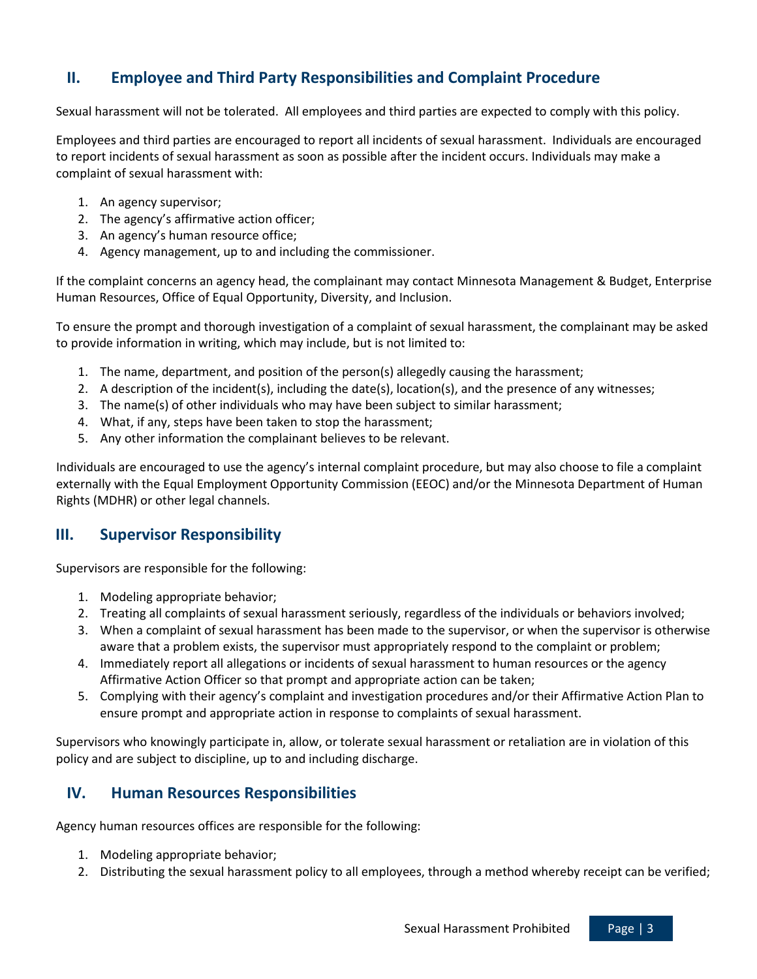# **II. Employee and Third Party Responsibilities and Complaint Procedure**

Sexual harassment will not be tolerated. All employees and third parties are expected to comply with this policy.

Employees and third parties are encouraged to report all incidents of sexual harassment. Individuals are encouraged to report incidents of sexual harassment as soon as possible after the incident occurs. Individuals may make a complaint of sexual harassment with:

- 1. An agency supervisor;
- 2. The agency's affirmative action officer;
- 3. An agency's human resource office;
- 4. Agency management, up to and including the commissioner.

If the complaint concerns an agency head, the complainant may contact Minnesota Management & Budget, Enterprise Human Resources, Office of Equal Opportunity, Diversity, and Inclusion.

To ensure the prompt and thorough investigation of a complaint of sexual harassment, the complainant may be asked to provide information in writing, which may include, but is not limited to:

- 1. The name, department, and position of the person(s) allegedly causing the harassment;
- 2. A description of the incident(s), including the date(s), location(s), and the presence of any witnesses;
- 3. The name(s) of other individuals who may have been subject to similar harassment;
- 4. What, if any, steps have been taken to stop the harassment;
- 5. Any other information the complainant believes to be relevant.

Individuals are encouraged to use the agency's internal complaint procedure, but may also choose to file a complaint externally with the Equal Employment Opportunity Commission (EEOC) and/or the Minnesota Department of Human Rights (MDHR) or other legal channels.

# **III. Supervisor Responsibility**

Supervisors are responsible for the following:

- 1. Modeling appropriate behavior;
- 2. Treating all complaints of sexual harassment seriously, regardless of the individuals or behaviors involved;
- 3. When a complaint of sexual harassment has been made to the supervisor, or when the supervisor is otherwise aware that a problem exists, the supervisor must appropriately respond to the complaint or problem;
- 4. Immediately report all allegations or incidents of sexual harassment to human resources or the agency Affirmative Action Officer so that prompt and appropriate action can be taken;
- 5. Complying with their agency's complaint and investigation procedures and/or their Affirmative Action Plan to ensure prompt and appropriate action in response to complaints of sexual harassment.

Supervisors who knowingly participate in, allow, or tolerate sexual harassment or retaliation are in violation of this policy and are subject to discipline, up to and including discharge.

# **IV. Human Resources Responsibilities**

Agency human resources offices are responsible for the following:

- 1. Modeling appropriate behavior;
- 2. Distributing the sexual harassment policy to all employees, through a method whereby receipt can be verified;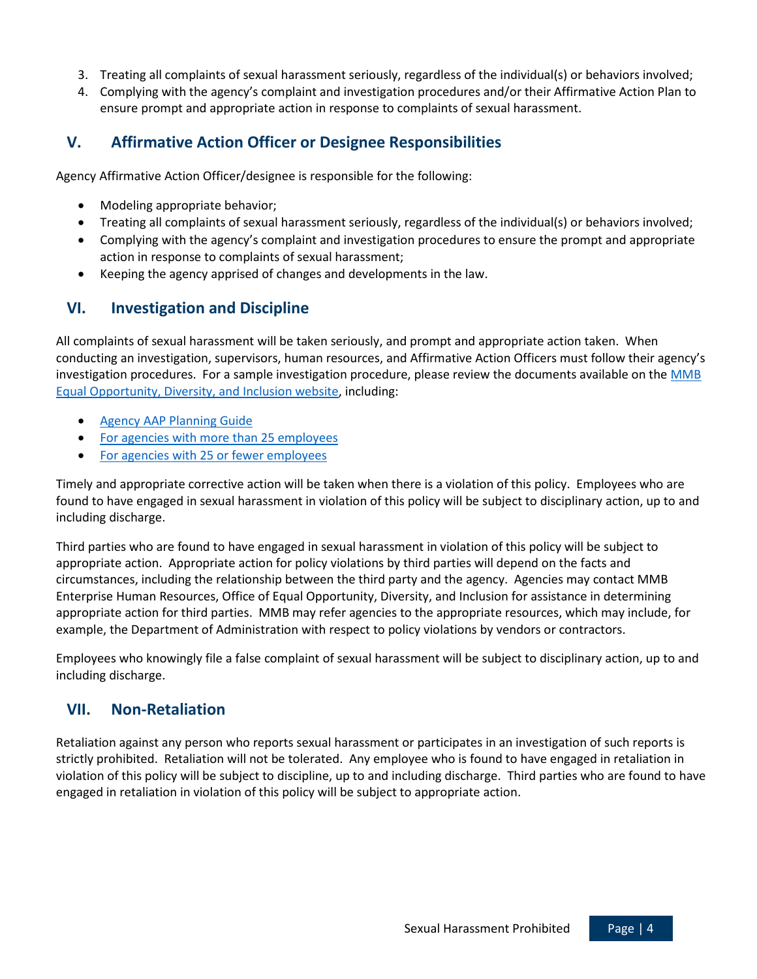- 3. Treating all complaints of sexual harassment seriously, regardless of the individual(s) or behaviors involved;
- 4. Complying with the agency's complaint and investigation procedures and/or their Affirmative Action Plan to ensure prompt and appropriate action in response to complaints of sexual harassment.

# **V. Affirmative Action Officer or Designee Responsibilities**

Agency Affirmative Action Officer/designee is responsible for the following:

- Modeling appropriate behavior;
- Treating all complaints of sexual harassment seriously, regardless of the individual(s) or behaviors involved;
- Complying with the agency's complaint and investigation procedures to ensure the prompt and appropriate action in response to complaints of sexual harassment;
- Keeping the agency apprised of changes and developments in the law.

# **VI. Investigation and Discipline**

All complaints of sexual harassment will be taken seriously, and prompt and appropriate action taken. When conducting an investigation, supervisors, human resources, and Affirmative Action Officers must follow their agency's investigation procedures. For a sample investigation procedure, please review the documents available on the [MMB](http://www.mn.gov/mmb/employee-relations/equal-opportunity/affirmative-action/index.jsp)  [Equal Opportunity, Diversity, and Inclusion website,](http://www.mn.gov/mmb/employee-relations/equal-opportunity/affirmative-action/index.jsp) including:

- [Agency AAP Planning Guide](https://mn.gov/mmb/assets/aap-primary-agency-aap-template-2016-2018_tcm1059-232940.docx)
- [For agencies with more than 25 employees](https://mn.gov/mmb/assets/planning-guide-agencies-more-25-emp_tcm1059-128912.docx)
- [For agencies with 25 or fewer employees](https://mn.gov/mmb/assets/aap-template-less-than-25-employees-2016-2018_tcm1059-232939.docx)

Timely and appropriate corrective action will be taken when there is a violation of this policy. Employees who are found to have engaged in sexual harassment in violation of this policy will be subject to disciplinary action, up to and including discharge.

Third parties who are found to have engaged in sexual harassment in violation of this policy will be subject to appropriate action. Appropriate action for policy violations by third parties will depend on the facts and circumstances, including the relationship between the third party and the agency. Agencies may contact MMB Enterprise Human Resources, Office of Equal Opportunity, Diversity, and Inclusion for assistance in determining appropriate action for third parties. MMB may refer agencies to the appropriate resources, which may include, for example, the Department of Administration with respect to policy violations by vendors or contractors.

Employees who knowingly file a false complaint of sexual harassment will be subject to disciplinary action, up to and including discharge.

# **VII. Non-Retaliation**

Retaliation against any person who reports sexual harassment or participates in an investigation of such reports is strictly prohibited. Retaliation will not be tolerated. Any employee who is found to have engaged in retaliation in violation of this policy will be subject to discipline, up to and including discharge. Third parties who are found to have engaged in retaliation in violation of this policy will be subject to appropriate action.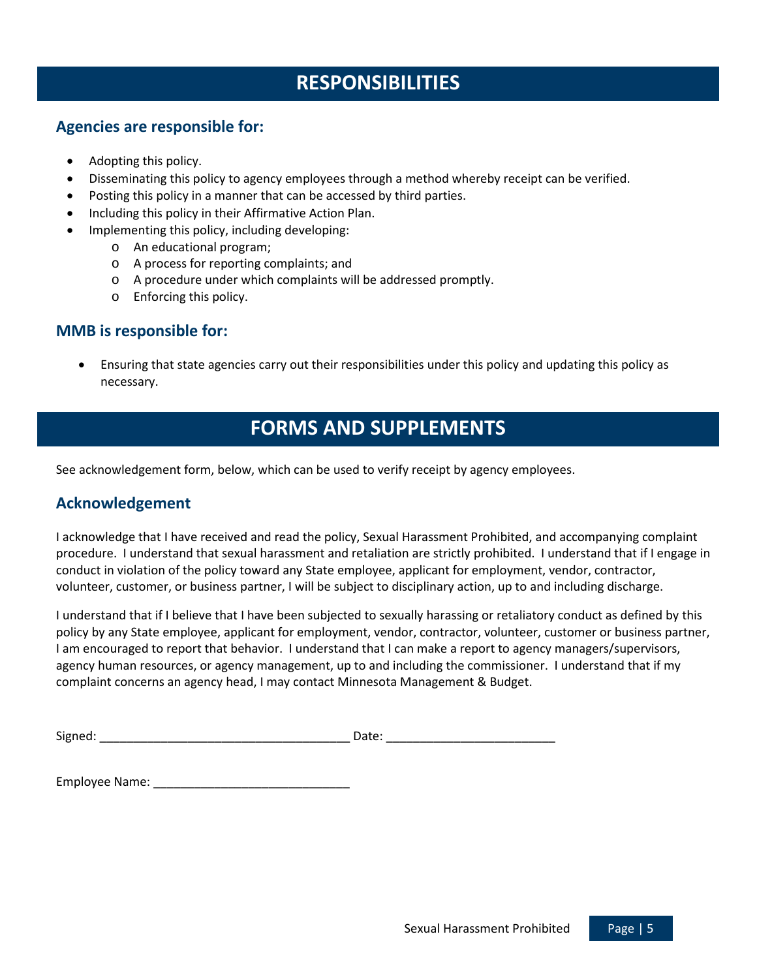# **RESPONSIBILITIES**

### **Agencies are responsible for:**

- Adopting this policy.
- Disseminating this policy to agency employees through a method whereby receipt can be verified.
- Posting this policy in a manner that can be accessed by third parties.
- Including this policy in their Affirmative Action Plan.
- Implementing this policy, including developing:
	- o An educational program;
	- o A process for reporting complaints; and
	- o A procedure under which complaints will be addressed promptly.
	- o Enforcing this policy.

## **MMB is responsible for:**

• Ensuring that state agencies carry out their responsibilities under this policy and updating this policy as necessary.

# **FORMS AND SUPPLEMENTS**

See acknowledgement form, below, which can be used to verify receipt by agency employees.

### **Acknowledgement**

I acknowledge that I have received and read the policy, Sexual Harassment Prohibited, and accompanying complaint procedure. I understand that sexual harassment and retaliation are strictly prohibited. I understand that if I engage in conduct in violation of the policy toward any State employee, applicant for employment, vendor, contractor, volunteer, customer, or business partner, I will be subject to disciplinary action, up to and including discharge.

I understand that if I believe that I have been subjected to sexually harassing or retaliatory conduct as defined by this policy by any State employee, applicant for employment, vendor, contractor, volunteer, customer or business partner, I am encouraged to report that behavior. I understand that I can make a report to agency managers/supervisors, agency human resources, or agency management, up to and including the commissioner. I understand that if my complaint concerns an agency head, I may contact Minnesota Management & Budget.

| Signed:<br>---<br>ale. |
|------------------------|
|------------------------|

Employee Name: \_\_\_\_\_\_\_\_\_\_\_\_\_\_\_\_\_\_\_\_\_\_\_\_\_\_\_\_\_